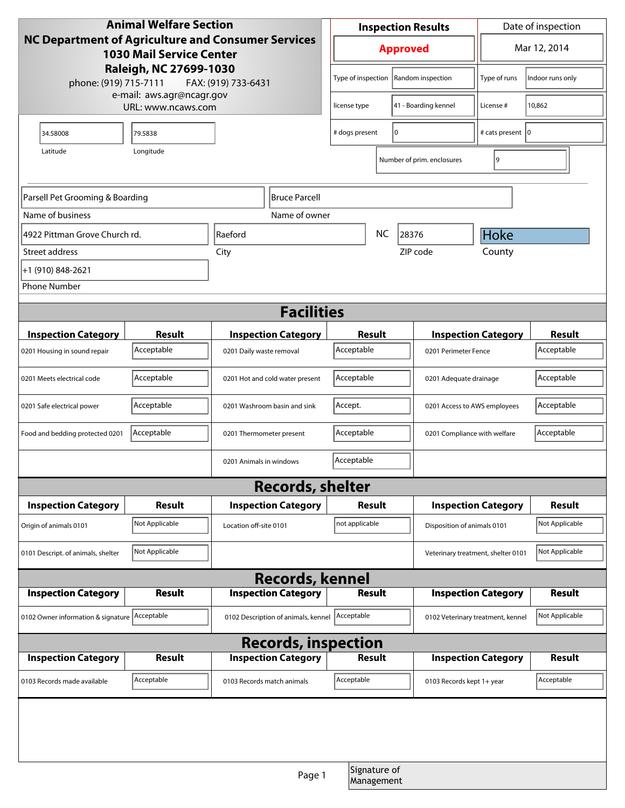| <b>Animal Welfare Section</b>                                                         |                    |                                     |        | <b>Inspection Results</b>  |                    |                                    | Date of inspection         |                  |
|---------------------------------------------------------------------------------------|--------------------|-------------------------------------|--------|----------------------------|--------------------|------------------------------------|----------------------------|------------------|
| NC Department of Agriculture and Consumer Services<br><b>1030 Mail Service Center</b> |                    |                                     |        | <b>Approved</b>            |                    |                                    | Mar 12, 2014               |                  |
| Raleigh, NC 27699-1030<br>phone: (919) 715-7111<br>e-mail: aws.agr@ncagr.gov          |                    | FAX: (919) 733-6431                 |        | Type of inspection         |                    | Random inspection                  | Type of runs               | Indoor runs only |
|                                                                                       | URL: www.ncaws.com |                                     |        | license type               |                    | 41 - Boarding kennel               | License #                  | 10,862           |
| 34.58008                                                                              | 79.5838            |                                     |        | I٥<br># dogs present       |                    |                                    | # cats present 10          |                  |
| Latitude                                                                              | Longitude          |                                     |        |                            |                    | Number of prim. enclosures         | 9                          |                  |
|                                                                                       |                    |                                     |        |                            |                    |                                    |                            |                  |
| Parsell Pet Grooming & Boarding                                                       |                    | <b>Bruce Parcell</b>                |        |                            |                    |                                    |                            |                  |
| Name of business                                                                      |                    | Name of owner                       |        |                            |                    |                                    |                            |                  |
| 4922 Pittman Grove Church rd.                                                         |                    | Raeford                             |        |                            | <b>NC</b><br>28376 |                                    | Hoke                       |                  |
| Street address                                                                        |                    | City                                |        |                            |                    | ZIP code                           | County                     |                  |
| +1 (910) 848-2621                                                                     |                    |                                     |        |                            |                    |                                    |                            |                  |
| <b>Phone Number</b>                                                                   |                    |                                     |        |                            |                    |                                    |                            |                  |
| <b>Facilities</b>                                                                     |                    |                                     |        |                            |                    |                                    |                            |                  |
| <b>Inspection Category</b>                                                            | Result             | <b>Inspection Category</b>          |        | Result                     |                    |                                    | <b>Inspection Category</b> | <b>Result</b>    |
| 0201 Housing in sound repair                                                          | Acceptable         | 0201 Daily waste removal            |        | Acceptable                 |                    | 0201 Perimeter Fence               |                            | Acceptable       |
| 0201 Meets electrical code                                                            | Acceptable         | 0201 Hot and cold water present     |        | Acceptable                 |                    | 0201 Adequate drainage             |                            | Acceptable       |
| 0201 Safe electrical power                                                            | Acceptable         | 0201 Washroom basin and sink        |        | Accept.                    |                    | 0201 Access to AWS employees       |                            | Acceptable       |
| Food and bedding protected 0201                                                       | Acceptable         | 0201 Thermometer present            |        | Acceptable                 |                    | 0201 Compliance with welfare       |                            | Acceptable       |
|                                                                                       |                    | 0201 Animals in windows             |        | Acceptable                 |                    |                                    |                            |                  |
| <b>Records, shelter</b>                                                               |                    |                                     |        |                            |                    |                                    |                            |                  |
| <b>Inspection Category</b>                                                            | Result             | <b>Inspection Category</b>          |        | <b>Result</b>              |                    | <b>Inspection Category</b>         |                            | <b>Result</b>    |
| Origin of animals 0101                                                                | Not Applicable     | Location off-site 0101              |        | not applicable             |                    | Disposition of animals 0101        |                            | Not Applicable   |
| 0101 Descript. of animals, shelter                                                    | Not Applicable     |                                     |        |                            |                    | Veterinary treatment, shelter 0101 |                            | Not Applicable   |
|                                                                                       |                    | <b>Records, kennel</b>              |        |                            |                    |                                    |                            |                  |
| <b>Inspection Category</b>                                                            | <b>Result</b>      | <b>Inspection Category</b>          |        | <b>Result</b>              |                    | <b>Inspection Category</b>         |                            | <b>Result</b>    |
| 0102 Owner information & signature Acceptable                                         |                    | 0102 Description of animals, kennel |        | Acceptable                 |                    | 0102 Veterinary treatment, kennel  |                            | Not Applicable   |
| <b>Records, inspection</b>                                                            |                    |                                     |        |                            |                    |                                    |                            |                  |
| <b>Inspection Category</b>                                                            | Result             | <b>Inspection Category</b>          |        | <b>Result</b>              |                    |                                    | <b>Inspection Category</b> | <b>Result</b>    |
| 0103 Records made available                                                           | Acceptable         | 0103 Records match animals          |        | Acceptable                 |                    | 0103 Records kept 1+ year          |                            | Acceptable       |
|                                                                                       |                    |                                     |        |                            |                    |                                    |                            |                  |
|                                                                                       |                    |                                     |        |                            |                    |                                    |                            |                  |
|                                                                                       |                    |                                     | Page 1 | Signature of<br>Management |                    |                                    |                            |                  |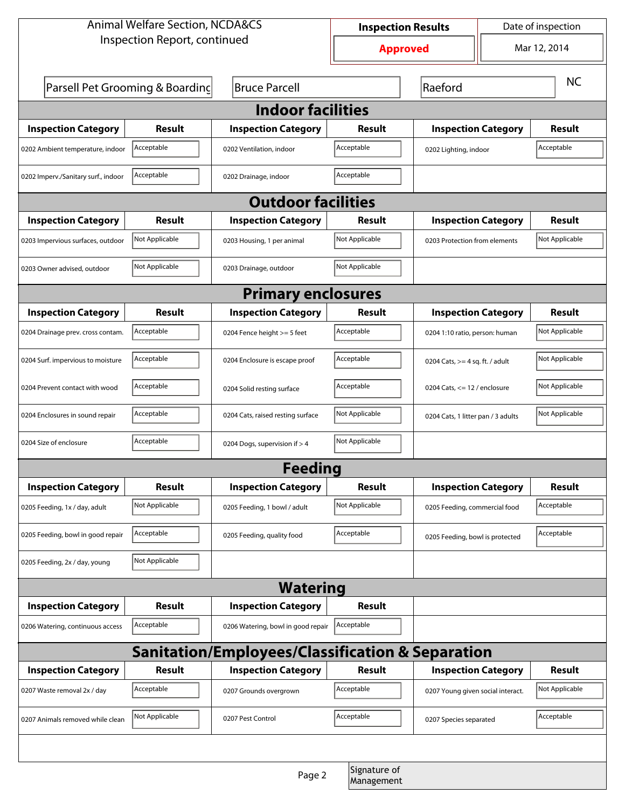| <b>Animal Welfare Section, NCDA&amp;CS</b>       |                                 |                                    | <b>Inspection Results</b> |                                   |                                    | Date of inspection |  |  |
|--------------------------------------------------|---------------------------------|------------------------------------|---------------------------|-----------------------------------|------------------------------------|--------------------|--|--|
|                                                  | Inspection Report, continued    |                                    | <b>Approved</b>           |                                   | Mar 12, 2014                       |                    |  |  |
|                                                  | Parsell Pet Grooming & Boarding | <b>Bruce Parcell</b>               |                           | Raeford                           |                                    | <b>NC</b>          |  |  |
| <b>Indoor facilities</b>                         |                                 |                                    |                           |                                   |                                    |                    |  |  |
| <b>Inspection Category</b>                       | Result                          | <b>Inspection Category</b>         | Result                    | <b>Inspection Category</b>        |                                    | Result             |  |  |
| 0202 Ambient temperature, indoor                 | Acceptable                      | 0202 Ventilation, indoor           | Acceptable                | 0202 Lighting, indoor             |                                    | Acceptable         |  |  |
| 0202 Imperv./Sanitary surf., indoor              | Acceptable                      | 0202 Drainage, indoor              | Acceptable                |                                   |                                    |                    |  |  |
| <b>Outdoor facilities</b>                        |                                 |                                    |                           |                                   |                                    |                    |  |  |
| <b>Inspection Category</b>                       | Result                          | <b>Inspection Category</b>         | Result                    | <b>Inspection Category</b>        |                                    | Result             |  |  |
| 0203 Impervious surfaces, outdoor                | Not Applicable                  | 0203 Housing, 1 per animal         | Not Applicable            |                                   | 0203 Protection from elements      |                    |  |  |
| 0203 Owner advised, outdoor                      | Not Applicable                  | 0203 Drainage, outdoor             | Not Applicable            |                                   |                                    |                    |  |  |
| <b>Primary enclosures</b>                        |                                 |                                    |                           |                                   |                                    |                    |  |  |
| <b>Inspection Category</b>                       | Result                          | <b>Inspection Category</b>         | Result                    | <b>Inspection Category</b>        |                                    | <b>Result</b>      |  |  |
| 0204 Drainage prev. cross contam.                | Acceptable                      | 0204 Fence height >= 5 feet        | Acceptable                | 0204 1:10 ratio, person: human    |                                    | Not Applicable     |  |  |
| 0204 Surf. impervious to moisture                | Acceptable                      | 0204 Enclosure is escape proof     | Acceptable                |                                   | 0204 Cats, $>=$ 4 sq. ft. / adult  |                    |  |  |
| 0204 Prevent contact with wood                   | Acceptable                      | 0204 Solid resting surface         | Acceptable                |                                   | 0204 Cats, $<= 12$ / enclosure     |                    |  |  |
| 0204 Enclosures in sound repair                  | Acceptable                      | 0204 Cats, raised resting surface  | Not Applicable            |                                   | 0204 Cats, 1 litter pan / 3 adults |                    |  |  |
| 0204 Size of enclosure                           | Acceptable                      | 0204 Dogs, supervision if > 4      | Not Applicable            |                                   |                                    |                    |  |  |
|                                                  |                                 | <b>Feeding</b>                     |                           |                                   |                                    |                    |  |  |
| <b>Inspection Category</b>                       | <b>Result</b>                   | <b>Inspection Category</b>         | Result                    | <b>Inspection Category</b>        |                                    | <b>Result</b>      |  |  |
| 0205 Feeding, 1x / day, adult                    | Not Applicable                  | 0205 Feeding, 1 bowl / adult       | Not Applicable            | 0205 Feeding, commercial food     |                                    | Acceptable         |  |  |
| 0205 Feeding, bowl in good repair                | Acceptable                      | 0205 Feeding, quality food         | Acceptable                | 0205 Feeding, bowl is protected   |                                    | Acceptable         |  |  |
| 0205 Feeding, 2x / day, young                    | Not Applicable                  |                                    |                           |                                   |                                    |                    |  |  |
|                                                  |                                 | <b>Watering</b>                    |                           |                                   |                                    |                    |  |  |
| <b>Inspection Category</b>                       | Result                          | <b>Inspection Category</b>         | Result                    |                                   |                                    |                    |  |  |
| 0206 Watering, continuous access                 | Acceptable                      | 0206 Watering, bowl in good repair | Acceptable                |                                   |                                    |                    |  |  |
| Sanitation/Employees/Classification & Separation |                                 |                                    |                           |                                   |                                    |                    |  |  |
| <b>Inspection Category</b>                       | <b>Result</b>                   | <b>Inspection Category</b>         | Result                    | <b>Inspection Category</b>        |                                    | <b>Result</b>      |  |  |
| 0207 Waste removal 2x / day                      | Acceptable                      | 0207 Grounds overgrown             | Acceptable                | 0207 Young given social interact. |                                    | Not Applicable     |  |  |
| 0207 Animals removed while clean                 | Not Applicable                  | 0207 Pest Control                  | Acceptable                | 0207 Species separated            |                                    | Acceptable         |  |  |
|                                                  |                                 |                                    |                           |                                   |                                    |                    |  |  |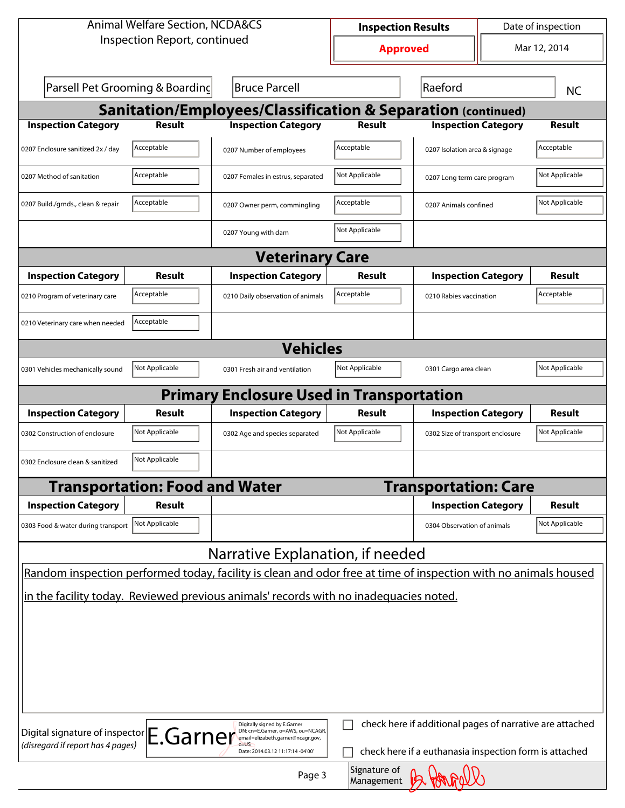| <b>Animal Welfare Section, NCDA&amp;CS</b>                                                                      | Date of inspection<br><b>Inspection Results</b>                                                        |                            |                                                          |  |                |  |  |  |
|-----------------------------------------------------------------------------------------------------------------|--------------------------------------------------------------------------------------------------------|----------------------------|----------------------------------------------------------|--|----------------|--|--|--|
| Inspection Report, continued                                                                                    |                                                                                                        | <b>Approved</b>            |                                                          |  | Mar 12, 2014   |  |  |  |
| Parsell Pet Grooming & Boarding                                                                                 | <b>Bruce Parcell</b>                                                                                   |                            | Raeford                                                  |  | <b>NC</b>      |  |  |  |
| <b>Sanitation/Employees/Classification &amp; Separation (continued)</b>                                         |                                                                                                        |                            |                                                          |  |                |  |  |  |
| <b>Inspection Category</b><br><b>Result</b>                                                                     | <b>Inspection Category</b>                                                                             | Result                     | <b>Inspection Category</b>                               |  | <b>Result</b>  |  |  |  |
| Acceptable<br>0207 Enclosure sanitized 2x / day                                                                 | 0207 Number of employees                                                                               | Acceptable                 | 0207 Isolation area & signage                            |  | Acceptable     |  |  |  |
| Acceptable<br>0207 Method of sanitation                                                                         | 0207 Females in estrus, separated                                                                      | Not Applicable             | 0207 Long term care program                              |  | Not Applicable |  |  |  |
| Acceptable<br>0207 Build./grnds., clean & repair                                                                | 0207 Owner perm, commingling                                                                           | Acceptable                 | 0207 Animals confined                                    |  | Not Applicable |  |  |  |
|                                                                                                                 | 0207 Young with dam                                                                                    | Not Applicable             |                                                          |  |                |  |  |  |
|                                                                                                                 | <b>Veterinary Care</b>                                                                                 |                            |                                                          |  |                |  |  |  |
| <b>Inspection Category</b><br>Result                                                                            | <b>Inspection Category</b>                                                                             | Result                     | <b>Inspection Category</b>                               |  | <b>Result</b>  |  |  |  |
| Acceptable<br>0210 Program of veterinary care                                                                   | 0210 Daily observation of animals                                                                      | Acceptable                 | 0210 Rabies vaccination                                  |  | Acceptable     |  |  |  |
| Acceptable<br>0210 Veterinary care when needed                                                                  |                                                                                                        |                            |                                                          |  |                |  |  |  |
|                                                                                                                 | <b>Vehicles</b>                                                                                        |                            |                                                          |  |                |  |  |  |
| Not Applicable<br>0301 Vehicles mechanically sound                                                              | 0301 Fresh air and ventilation                                                                         | Not Applicable             | 0301 Cargo area clean                                    |  | Not Applicable |  |  |  |
|                                                                                                                 | <b>Primary Enclosure Used in Transportation</b>                                                        |                            |                                                          |  |                |  |  |  |
| <b>Inspection Category</b><br>Result                                                                            | <b>Inspection Category</b>                                                                             | Result                     | <b>Inspection Category</b>                               |  | Result         |  |  |  |
| Not Applicable<br>0302 Construction of enclosure                                                                | 0302 Age and species separated                                                                         | Not Applicable             | 0302 Size of transport enclosure                         |  | Not Applicable |  |  |  |
| Not Applicable<br>0302 Enclosure clean & sanitized                                                              |                                                                                                        |                            |                                                          |  |                |  |  |  |
| <b>Transportation: Food and Water</b>                                                                           |                                                                                                        |                            | <b>Transportation: Care</b>                              |  |                |  |  |  |
| <b>Inspection Category</b><br>Result                                                                            |                                                                                                        |                            | <b>Inspection Category</b>                               |  | <b>Result</b>  |  |  |  |
| Not Applicable<br>0303 Food & water during transport                                                            |                                                                                                        |                            | 0304 Observation of animals                              |  | Not Applicable |  |  |  |
|                                                                                                                 | Narrative Explanation, if needed                                                                       |                            |                                                          |  |                |  |  |  |
| Random inspection performed today, facility is clean and odor free at time of inspection with no animals housed |                                                                                                        |                            |                                                          |  |                |  |  |  |
| in the facility today. Reviewed previous animals' records with no inadequacies noted.                           |                                                                                                        |                            |                                                          |  |                |  |  |  |
|                                                                                                                 |                                                                                                        |                            |                                                          |  |                |  |  |  |
|                                                                                                                 |                                                                                                        |                            |                                                          |  |                |  |  |  |
|                                                                                                                 |                                                                                                        |                            |                                                          |  |                |  |  |  |
|                                                                                                                 |                                                                                                        |                            |                                                          |  |                |  |  |  |
|                                                                                                                 |                                                                                                        |                            |                                                          |  |                |  |  |  |
|                                                                                                                 |                                                                                                        |                            |                                                          |  |                |  |  |  |
| Digital signature of inspector E.Garner<br>(disregard if report has 4 pages)                                    | Digitally signed by E.Garner<br>DN: cn=E.Garner, o=AWS, ou=NCAGR,<br>email=elizabeth.garner@ncagr.gov, |                            | check here if additional pages of narrative are attached |  |                |  |  |  |
|                                                                                                                 | Date: 2014.03.12 11:17:14 -04'00'                                                                      |                            | check here if a euthanasia inspection form is attached   |  |                |  |  |  |
|                                                                                                                 | Page 3                                                                                                 | Signature of<br>Management |                                                          |  |                |  |  |  |